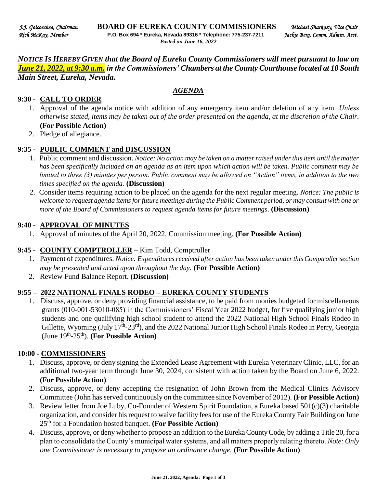*NOTICE IS HEREBY GIVEN that the Board of Eureka County Commissioners will meet pursuant to law on June 21, 2022, at 9:30 a.m. in the Commissioners' Chambers at the County Courthouse located at 10 South Main Street, Eureka, Nevada.* 

#### *AGENDA*

#### **9:30 - CALL TO ORDER**

- 1. Approval of the agenda notice with addition of any emergency item and/or deletion of any item. *Unless otherwise stated, items may be taken out of the order presented on the agenda, at the discretion of the Chair.* **(For Possible Action)**
- 2. Pledge of allegiance.

#### **9:35 - PUBLIC COMMENT and DISCUSSION**

- 1. Public comment and discussion. *Notice: No action may be taken on a matter raised under this item until the matter has been specifically included on an agenda as an item upon which action will be taken. Public comment may be limited to three (3) minutes per person. Public comment may be allowed on "Action" items, in addition to the two times specified on the agenda.* **(Discussion)**
- 2. Consider items requiring action to be placed on the agenda for the next regular meeting. *Notice: The public is welcome to request agenda items for future meetings during the Public Comment period, or may consult with one or more of the Board of Commissioners to request agenda items for future meetings*. **(Discussion)**

#### **9:40 - APPROVAL OF MINUTES**

1. Approval of minutes of the April 20, 2022, Commission meeting. **(For Possible Action)** 

### **9:45 - COUNTY COMPTROLLER –** Kim Todd, Comptroller

- 1. Payment of expenditures. *Notice: Expenditures received after action has been taken under this Comptroller section may be presented and acted upon throughout the day.* **(For Possible Action)**
- 2. Review Fund Balance Report. **(Discussion)**

### **9:55 – 2022 NATIONAL FINALS RODEO – EUREKA COUNTY STUDENTS**

1. Discuss, approve, or deny providing financial assistance, to be paid from monies budgeted for miscellaneous grants (010-001-53010-085) in the Commissioners' Fiscal Year 2022 budget, for five qualifying junior high students and one qualifying high school student to attend the 2022 National High School Finals Rodeo in Gillette, Wyoming (July 17<sup>th</sup>-23<sup>rd</sup>), and the 2022 National Junior High School Finals Rodeo in Perry, Georgia (June 19<sup>th</sup>-25<sup>th</sup>). (For Possible Action)

#### **10:00 - COMMISSIONERS**

- 1. Discuss, approve, or deny signing the Extended Lease Agreement with Eureka Veterinary Clinic, LLC, for an additional two-year term through June 30, 2024, consistent with action taken by the Board on June 6, 2022. **(For Possible Action)**
- 2. Discuss, approve, or deny accepting the resignation of John Brown from the Medical Clinics Advisory Committee (John has served continuously on the committee since November of 2012). **(For Possible Action)**
- 3. Review letter from Joe Luby, Co-Founder of Western Spirit Foundation, a Eureka based 501(c)(3) charitable organization, and consider his request to waive facility fees for use of the Eureka County Fair Building on June 25th for a Foundation hosted banquet. **(For Possible Action)**
- 4. Discuss, approve, or deny whether to propose an addition to the Eureka County Code, by adding a Title 20, for a plan to consolidate the County's municipal water systems, and all matters properly relating thereto. *Note: Only one Commissioner is necessary to propose an ordinance change.* **(For Possible Action)**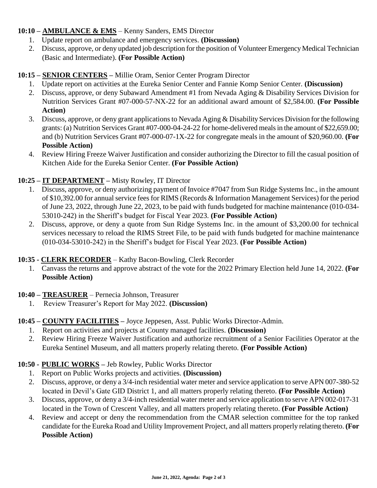### **10:10 – AMBULANCE & EMS** – Kenny Sanders, EMS Director

- 1. Update report on ambulance and emergency services. **(Discussion)**
- 2. Discuss, approve, or deny updated job description for the position of Volunteer Emergency Medical Technician (Basic and Intermediate). **(For Possible Action)**

# **10:15 – SENIOR CENTERS –** Millie Oram, Senior Center Program Director

- 1. Update report on activities at the Eureka Senior Center and Fannie Komp Senior Center. **(Discussion)**
- 2. Discuss, approve, or deny Subaward Amendment #1 from Nevada Aging & Disability Services Division for Nutrition Services Grant #07-000-57-NX-22 for an additional award amount of \$2,584.00. **(For Possible Action)**
- 3. Discuss, approve, or deny grant applications to Nevada Aging & Disability Services Division for the following grants: (a) Nutrition Services Grant #07-000-04-24-22 for home-delivered meals in the amount of \$22,659.00; and (b) Nutrition Services Grant #07-000-07-1X-22 for congregate meals in the amount of \$20,960.00. **(For Possible Action)**
- 4. Review Hiring Freeze Waiver Justification and consider authorizing the Director to fill the casual position of Kitchen Aide for the Eureka Senior Center. **(For Possible Action)**

# **10:25 – IT DEPARTMENT –** Misty Rowley, IT Director

- 1. Discuss, approve, or deny authorizing payment of Invoice #7047 from Sun Ridge Systems Inc., in the amount of \$10,392.00 for annual service fees for RIMS (Records & Information Management Services) for the period of June 23, 2022, through June 22, 2023, to be paid with funds budgeted for machine maintenance (010-034- 53010-242) in the Sheriff's budget for Fiscal Year 2023. **(For Possible Action)**
- 2. Discuss, approve, or deny a quote from Sun Ridge Systems Inc. in the amount of \$3,200.00 for technical services necessary to reload the RIMS Street File, to be paid with funds budgeted for machine maintenance (010-034-53010-242) in the Sheriff's budget for Fiscal Year 2023. **(For Possible Action)**

# **10:35 - CLERK RECORDER** – Kathy Bacon-Bowling, Clerk Recorder

1. Canvass the returns and approve abstract of the vote for the 2022 Primary Election held June 14, 2022. **(For Possible Action)** 

# **10:40 – TREASURER** – Pernecia Johnson, Treasurer

1. Review Treasurer's Report for May 2022. **(Discussion)** 

# **10:45 – COUNTY FACILITIES –** Joyce Jeppesen, Asst. Public Works Director-Admin.

- 1. Report on activities and projects at County managed facilities. **(Discussion)**
- 2. Review Hiring Freeze Waiver Justification and authorize recruitment of a Senior Facilities Operator at the Eureka Sentinel Museum, and all matters properly relating thereto. **(For Possible Action)**

# **10:50 - PUBLIC WORKS –** Jeb Rowley, Public Works Director

- 1. Report on Public Works projects and activities. **(Discussion)**
- 2. Discuss, approve, or deny a 3/4-inch residential water meter and service application to serve APN 007-380-52 located in Devil's Gate GID District 1, and all matters properly relating thereto. **(For Possible Action)**
- 3. Discuss, approve, or deny a 3/4-inch residential water meter and service application to serve APN 002-017-31 located in the Town of Crescent Valley, and all matters properly relating thereto. **(For Possible Action)**
- 4. Review and accept or deny the recommendation from the CMAR selection committee for the top ranked candidate for the Eureka Road and Utility Improvement Project, and all matters properly relating thereto. **(For Possible Action)**